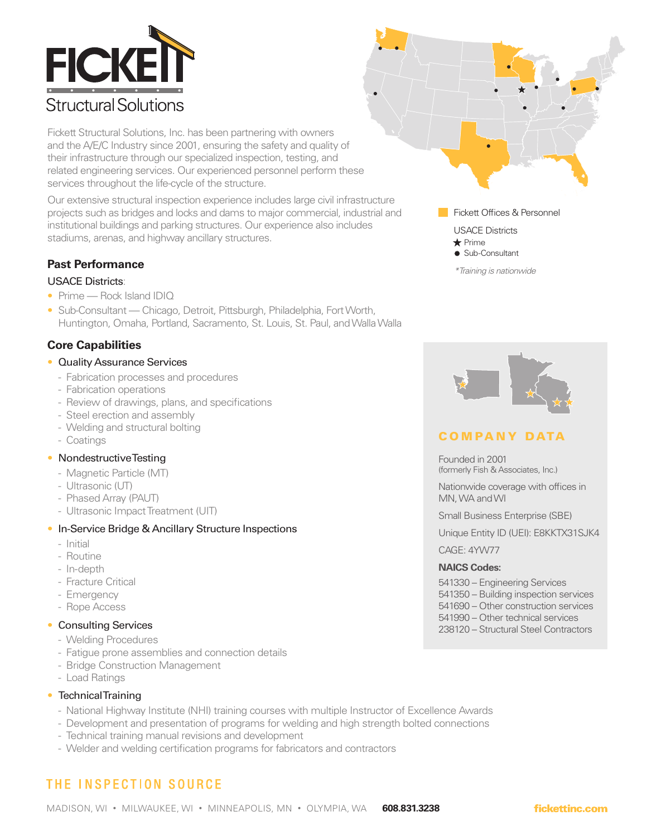

Fickett Structural Solutions, Inc. has been partnering with owners and the A/E/C Industry since 2001, ensuring the safety and quality of their infrastructure through our specialized inspection, testing, and related engineering services. Our experienced personnel perform these services throughout the life-cycle of the structure.

Our extensive structural inspection experience includes large civil infrastructure projects such as bridges and locks and dams to major commercial, industrial and institutional buildings and parking structures. Our experience also includes stadiums, arenas, and highway ancillary structures.

# **Past Performance**

## USACE Districts:

- Prime Rock Island IDIQ
- Sub-Consultant Chicago, Detroit, Pittsburgh, Philadelphia, Fort Worth, Huntington, Omaha, Portland, Sacramento, St. Louis, St. Paul, and Walla Walla

# **Core Capabilities**

#### • Quality Assurance Services

- Fabrication processes and procedures
- Fabrication operations
- Review of drawings, plans, and specifications
- Steel erection and assembly
- Welding and structural bolting
- Coatings

## • Nondestructive Testing

- Magnetic Particle (MT)
- Ultrasonic (UT)
- Phased Array (PAUT)
- Ultrasonic Impact Treatment (UIT)

## • In-Service Bridge & Ancillary Structure Inspections

- Initial
- Routine
- In-depth
- Fracture Critical
- Emergency
- Rope Access

## • Consulting Services

- Welding Procedures
- Fatigue prone assemblies and connection details
- Bridge Construction Management
- Load Ratings

## • Technical Training

- National Highway Institute (NHI) training courses with multiple Instructor of Excellence Awards
- Development and presentation of programs for welding and high strength bolted connections
- Technical training manual revisions and development
- Welder and welding certification programs for fabricators and contractors

# **THE INSPECTION SOURCE**



**Fickett Offices & Personnel** 

USACE Districts



# COMPANY DATA

Founded in 2001 (formerly Fish & Associates, Inc.)

Nationwide coverage with offices in MN, WA and WI

Small Business Enterprise (SBE)

Unique Entity ID (UEI): E8KKTX31SJK4

CAGE: 4YW77

## **NAICS Codes:**

541330 – Engineering Services 541350 – Building inspection services

- 541690 Other construction services
- 541990 Other technical services
- 238120 Structural Steel Contractors